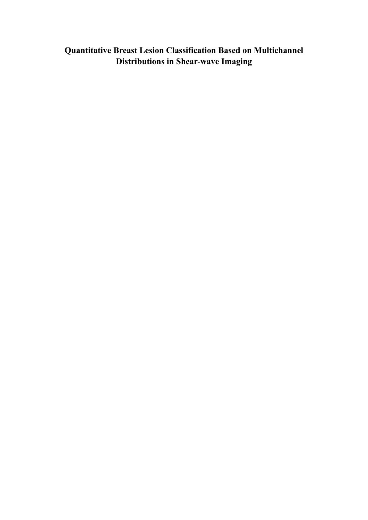**Quantitative Breast Lesion Classification Based on Multichannel Distributions in Shear-wave Imaging**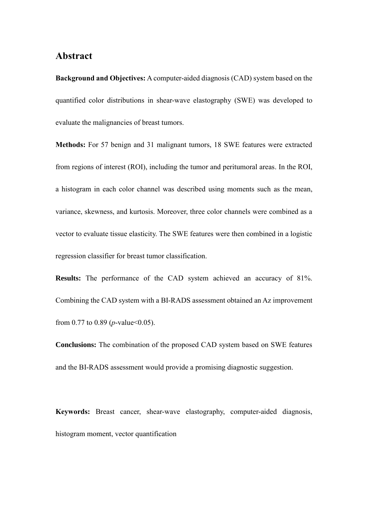### **Abstract**

**Background and Objectives:** A computer-aided diagnosis (CAD) system based on the quantified color distributions in shear-wave elastography (SWE) was developed to evaluate the malignancies of breast tumors.

**Methods:** For 57 benign and 31 malignant tumors, 18 SWE features were extracted from regions of interest (ROI), including the tumor and peritumoral areas. In the ROI, a histogram in each color channel was described using moments such as the mean, variance, skewness, and kurtosis. Moreover, three color channels were combined as a vector to evaluate tissue elasticity. The SWE features were then combined in a logistic regression classifier for breast tumor classification.

**Results:** The performance of the CAD system achieved an accuracy of 81%. Combining the CAD system with a BI-RADS assessment obtained an Az improvement from 0.77 to 0.89 (*p*-value  $< 0.05$ ).

**Conclusions:** The combination of the proposed CAD system based on SWE features and the BI-RADS assessment would provide a promising diagnostic suggestion.

**Keywords:** Breast cancer, shear-wave elastography, computer-aided diagnosis, histogram moment, vector quantification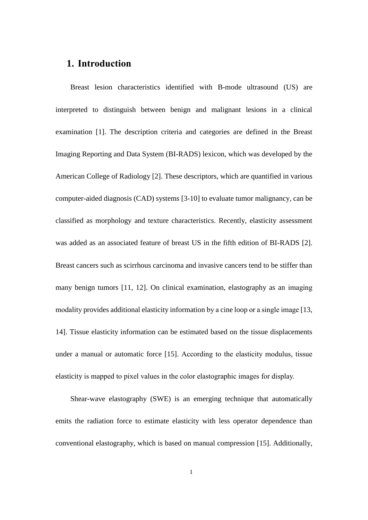### **1. Introduction**

Breast lesion characteristics identified with B-mode ultrasound (US) are interpreted to distinguish between benign and malignant lesions in a clinical examination [\[1\]](#page-17-0). The description criteria and categories are defined in the Breast Imaging Reporting and Data System (BI-RADS) lexicon, which was developed by the American College of Radiology [\[2\]](#page-17-1). These descriptors, which are quantified in various computer-aided diagnosis (CAD) systems [\[3-10\]](#page-17-2) to evaluate tumor malignancy, can be classified as morphology and texture characteristics. Recently, elasticity assessment was added as an associated feature of breast US in the fifth edition of BI-RADS [\[2\]](#page-17-1). Breast cancers such as scirrhous carcinoma and invasive cancers tend to be stiffer than many benign tumors [\[11,](#page-18-0) [12\]](#page-18-1). On clinical examination, elastography as an imaging modality provides additional elasticity information by a cine loop or a single image [\[13,](#page-19-0) [14\]](#page-19-1). Tissue elasticity information can be estimated based on the tissue displacements under a manual or automatic force [\[15\]](#page-19-2). According to the elasticity modulus, tissue elasticity is mapped to pixel values in the color elastographic images for display.

Shear-wave elastography (SWE) is an emerging technique that automatically emits the radiation force to estimate elasticity with less operator dependence than conventional elastography, which is based on manual compression [\[15\]](#page-19-2). Additionally,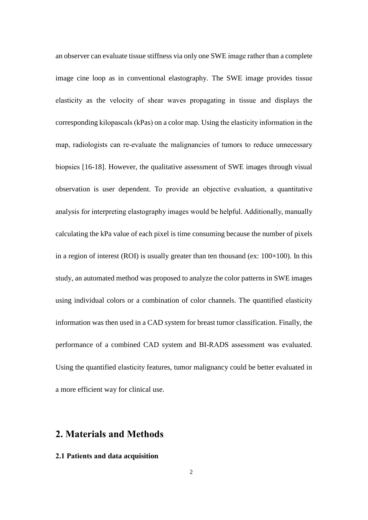an observer can evaluate tissue stiffness via only one SWE image rather than a complete image cine loop as in conventional elastography. The SWE image provides tissue elasticity as the velocity of shear waves propagating in tissue and displays the corresponding kilopascals (kPas) on a color map. Using the elasticity information in the map, radiologists can re-evaluate the malignancies of tumors to reduce unnecessary biopsies [\[16-18\]](#page-19-3). However, the qualitative assessment of SWE images through visual observation is user dependent. To provide an objective evaluation, a quantitative analysis for interpreting elastography images would be helpful. Additionally, manually calculating the kPa value of each pixel is time consuming because the number of pixels in a region of interest (ROI) is usually greater than ten thousand (ex:  $100\times100$ ). In this study, an automated method was proposed to analyze the color patterns in SWE images using individual colors or a combination of color channels. The quantified elasticity information was then used in a CAD system for breast tumor classification. Finally, the performance of a combined CAD system and BI-RADS assessment was evaluated. Using the quantified elasticity features, tumor malignancy could be better evaluated in a more efficient way for clinical use.

## **2. Materials and Methods**

### **2.1 Patients and data acquisition**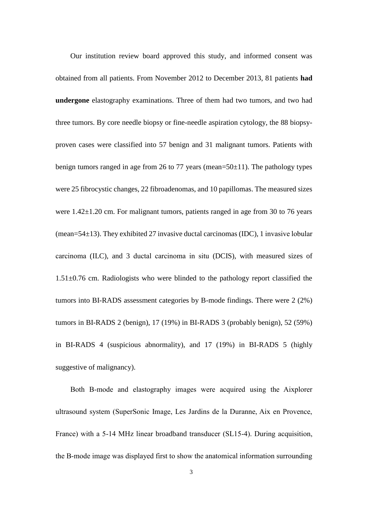Our institution review board approved this study, and informed consent was obtained from all patients. From November 2012 to December 2013, 81 patients **had undergone** elastography examinations. Three of them had two tumors, and two had three tumors. By core needle biopsy or fine-needle aspiration cytology, the 88 biopsyproven cases were classified into 57 benign and 31 malignant tumors. Patients with benign tumors ranged in age from 26 to 77 years (mean=50±11). The pathology types were 25 fibrocystic changes, 22 fibroadenomas, and 10 papillomas. The measured sizes were 1.42 $\pm$ 1.20 cm. For malignant tumors, patients ranged in age from 30 to 76 years (mean=54 $\pm$ 13). They exhibited 27 invasive ductal carcinomas (IDC), 1 invasive lobular carcinoma (ILC), and 3 ductal carcinoma in situ (DCIS), with measured sizes of 1.51±0.76 cm. Radiologists who were blinded to the pathology report classified the tumors into BI-RADS assessment categories by B-mode findings. There were 2 (2%) tumors in BI-RADS 2 (benign), 17 (19%) in BI-RADS 3 (probably benign), 52 (59%) in BI-RADS 4 (suspicious abnormality), and 17 (19%) in BI-RADS 5 (highly suggestive of malignancy).

Both B-mode and elastography images were acquired using the Aixplorer ultrasound system (SuperSonic Image, Les Jardins de la Duranne, Aix en Provence, France) with a 5-14 MHz linear broadband transducer (SL15-4). During acquisition, the B-mode image was displayed first to show the anatomical information surrounding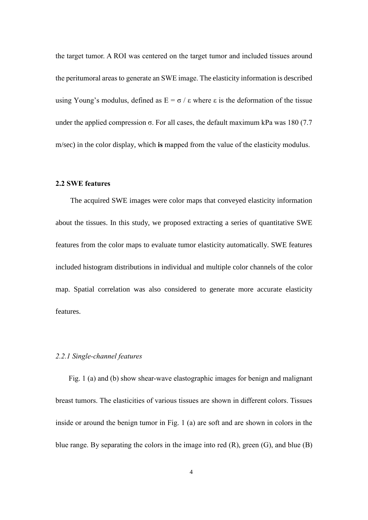the target tumor. A ROI was centered on the target tumor and included tissues around the peritumoral areas to generate an SWE image. The elasticity information is described using Young's modulus, defined as  $E = \sigma / \varepsilon$  where  $\varepsilon$  is the deformation of the tissue under the applied compression  $\sigma$ . For all cases, the default maximum kPa was 180 (7.7) m/sec) in the color display, which **is** mapped from the value of the elasticity modulus.

### **2.2 SWE features**

The acquired SWE images were color maps that conveyed elasticity information about the tissues. In this study, we proposed extracting a series of quantitative SWE features from the color maps to evaluate tumor elasticity automatically. SWE features included histogram distributions in individual and multiple color channels of the color map. Spatial correlation was also considered to generate more accurate elasticity features.

#### *2.2.1 Single-channel features*

Fig. 1 (a) and (b) show shear-wave elastographic images for benign and malignant breast tumors. The elasticities of various tissues are shown in different colors. Tissues inside or around the benign tumor in Fig. 1 (a) are soft and are shown in colors in the blue range. By separating the colors in the image into red (R), green (G), and blue (B)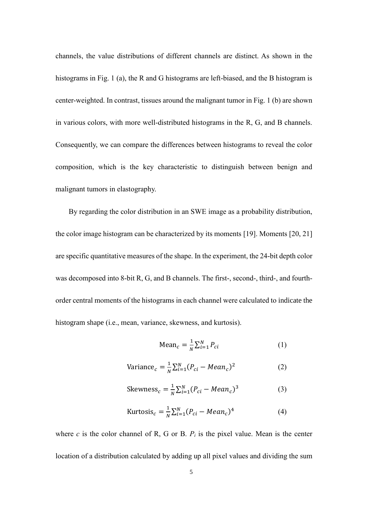channels, the value distributions of different channels are distinct. As shown in the histograms in Fig. 1 (a), the R and G histograms are left-biased, and the B histogram is center-weighted. In contrast, tissues around the malignant tumor in Fig. 1 (b) are shown in various colors, with more well-distributed histograms in the R, G, and B channels. Consequently, we can compare the differences between histograms to reveal the color composition, which is the key characteristic to distinguish between benign and malignant tumors in elastography.

By regarding the color distribution in an SWE image as a probability distribution, the color image histogram can be characterized by its moments [\[19\]](#page-20-0). Moments [\[20,](#page-20-1) [21\]](#page-20-2) are specific quantitative measures of the shape. In the experiment, the 24-bit depth color was decomposed into 8-bit R, G, and B channels. The first-, second-, third-, and fourthorder central moments of the histograms in each channel were calculated to indicate the histogram shape (i.e., mean, variance, skewness, and kurtosis).

$$
\text{Mean}_c = \frac{1}{N} \sum_{i=1}^{N} P_{ci} \tag{1}
$$

$$
\text{Variance}_c = \frac{1}{N} \sum_{i=1}^{N} (P_{ci} - Mean_c)^2 \tag{2}
$$

Skewness<sub>c</sub> = 
$$
\frac{1}{N} \sum_{i=1}^{N} (P_{ci} - Mean_c)^3
$$
 (3)

Kurtosis<sub>c</sub> = 
$$
\frac{1}{N} \sum_{i=1}^{N} (P_{ci} - Mean_c)^4
$$
 (4)

where *c* is the color channel of R, G or B.  $P_i$  is the pixel value. Mean is the center location of a distribution calculated by adding up all pixel values and dividing the sum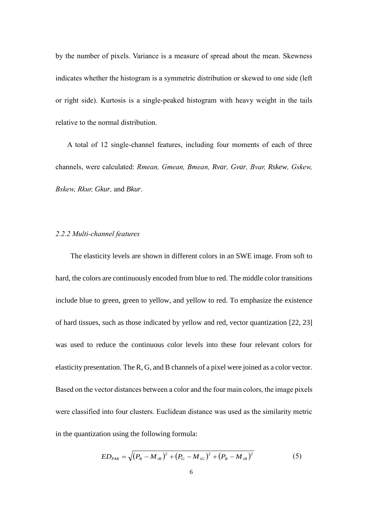by the number of pixels. Variance is a measure of spread about the mean. Skewness indicates whether the histogram is a symmetric distribution or skewed to one side (left or right side). Kurtosis is a single-peaked histogram with heavy weight in the tails relative to the normal distribution.

A total of 12 single-channel features, including four moments of each of three channels, were calculated: *Rmean, Gmean, Bmean, Rvar, Gvar, Bvar, Rskew, Gskew, Bskew, Rkur, Gkur,* and *Bkur*.

#### *2.2.2 Multi-channel features*

The elasticity levels are shown in different colors in an SWE image. From soft to hard, the colors are continuously encoded from blue to red. The middle color transitions include blue to green, green to yellow, and yellow to red. To emphasize the existence of hard tissues, such as those indicated by yellow and red, vector quantization [\[22,](#page-20-3) [23\]](#page-20-4) was used to reduce the continuous color levels into these four relevant colors for elasticity presentation. The R, G, and B channels of a pixel were joined as a color vector. Based on the vector distances between a color and the four main colors, the image pixels were classified into four clusters. Euclidean distance was used as the similarity metric in the quantization using the following formula:

$$
ED_{PMi} = \sqrt{(P_R - M_{iR})^2 + (P_G - M_{iG})^2 + (P_B - M_{iB})^2}
$$
 (5)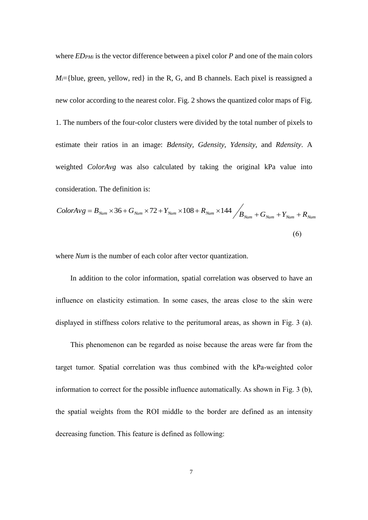where *EDPMi* is the vector difference between a pixel color *P* and one of the main colors  $M_i$ ={blue, green, yellow, red} in the R, G, and B channels. Each pixel is reassigned a new color according to the nearest color. Fig. 2 shows the quantized color maps of Fig. 1. The numbers of the four-color clusters were divided by the total number of pixels to estimate their ratios in an image: *Bdensity, Gdensity, Ydensity,* and *Rdensity*. A weighted *ColorAvg* was also calculated by taking the original kPa value into consideration. The definition is:

$$
ColorAvg = B_{Num} \times 36 + G_{Num} \times 72 + Y_{Num} \times 108 + R_{Num} \times 144 / B_{Num} + G_{Num} + Y_{Num} + R_{Num}
$$
\n
$$
(6)
$$

where *Num* is the number of each color after vector quantization.

In addition to the color information, spatial correlation was observed to have an influence on elasticity estimation. In some cases, the areas close to the skin were displayed in stiffness colors relative to the peritumoral areas, as shown in Fig. 3 (a).

This phenomenon can be regarded as noise because the areas were far from the target tumor. Spatial correlation was thus combined with the kPa-weighted color information to correct for the possible influence automatically. As shown in Fig. 3 (b), the spatial weights from the ROI middle to the border are defined as an intensity decreasing function. This feature is defined as following: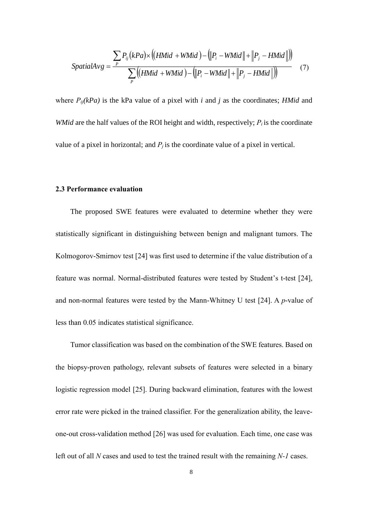$$
SpatialAvg = \frac{\sum_{P} P_{ij}(kPa) \times ((HMid + WMid) - (\|P_i - WMid\| + \|P_j - HMid\|))}{\sum_{P} ((HMid + WMid) - (\|P_i - WMid\| + \|P_j - HMid\|))}
$$
(7)

where  $P_{ij}(kPa)$  is the kPa value of a pixel with *i* and *j* as the coordinates; *HMid* and *WMid* are the half values of the ROI height and width, respectively;  $P_i$  is the coordinate value of a pixel in horizontal; and  $P_i$  is the coordinate value of a pixel in vertical.

#### **2.3 Performance evaluation**

The proposed SWE features were evaluated to determine whether they were statistically significant in distinguishing between benign and malignant tumors. The Kolmogorov-Smirnov test [\[24\]](#page-20-5) was first used to determine if the value distribution of a feature was normal. Normal-distributed features were tested by Student's t-test [\[24\]](#page-20-5), and non-normal features were tested by the Mann-Whitney U test [\[24\]](#page-20-5). A *p*-value of less than 0.05 indicates statistical significance.

Tumor classification was based on the combination of the SWE features. Based on the biopsy-proven pathology, relevant subsets of features were selected in a binary logistic regression model [\[25\]](#page-20-6). During backward elimination, features with the lowest error rate were picked in the trained classifier. For the generalization ability, the leaveone-out cross-validation method [\[26\]](#page-20-7) was used for evaluation. Each time, one case was left out of all *N* cases and used to test the trained result with the remaining *N-1* cases.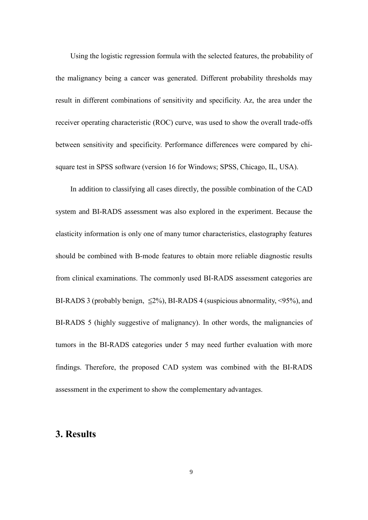Using the logistic regression formula with the selected features, the probability of the malignancy being a cancer was generated. Different probability thresholds may result in different combinations of sensitivity and specificity. Az, the area under the receiver operating characteristic (ROC) curve, was used to show the overall trade-offs between sensitivity and specificity. Performance differences were compared by chisquare test in SPSS software (version 16 for Windows; SPSS, Chicago, IL, USA).

In addition to classifying all cases directly, the possible combination of the CAD system and BI-RADS assessment was also explored in the experiment. Because the elasticity information is only one of many tumor characteristics, elastography features should be combined with B-mode features to obtain more reliable diagnostic results from clinical examinations. The commonly used BI-RADS assessment categories are BI-RADS 3 (probably benign,  $\leq 2\%$ ), BI-RADS 4 (suspicious abnormality,  $\leq 95\%$ ), and BI-RADS 5 (highly suggestive of malignancy). In other words, the malignancies of tumors in the BI-RADS categories under 5 may need further evaluation with more findings. Therefore, the proposed CAD system was combined with the BI-RADS assessment in the experiment to show the complementary advantages.

## **3. Results**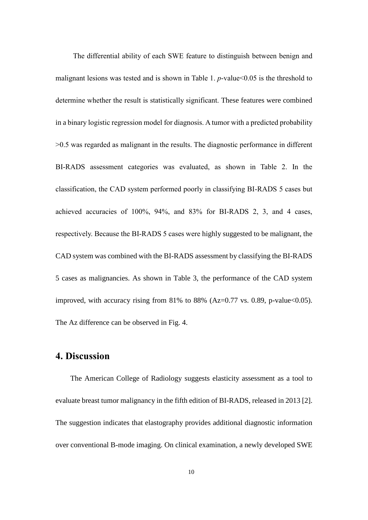The differential ability of each SWE feature to distinguish between benign and malignant lesions was tested and is shown in Table 1. *p*-value<0.05 is the threshold to determine whether the result is statistically significant. These features were combined in a binary logistic regression model for diagnosis. A tumor with a predicted probability >0.5 was regarded as malignant in the results. The diagnostic performance in different BI-RADS assessment categories was evaluated, as shown in Table 2. In the classification, the CAD system performed poorly in classifying BI-RADS 5 cases but achieved accuracies of 100%, 94%, and 83% for BI-RADS 2, 3, and 4 cases, respectively. Because the BI-RADS 5 cases were highly suggested to be malignant, the CAD system was combined with the BI-RADS assessment by classifying the BI-RADS 5 cases as malignancies. As shown in Table 3, the performance of the CAD system improved, with accuracy rising from 81% to 88% (Az=0.77 vs. 0.89, p-value  $<0.05$ ). The Az difference can be observed in Fig. 4.

### **4. Discussion**

The American College of Radiology suggests elasticity assessment as a tool to evaluate breast tumor malignancy in the fifth edition of BI-RADS, released in 2013 [\[2\]](#page-17-1). The suggestion indicates that elastography provides additional diagnostic information over conventional B-mode imaging. On clinical examination, a newly developed SWE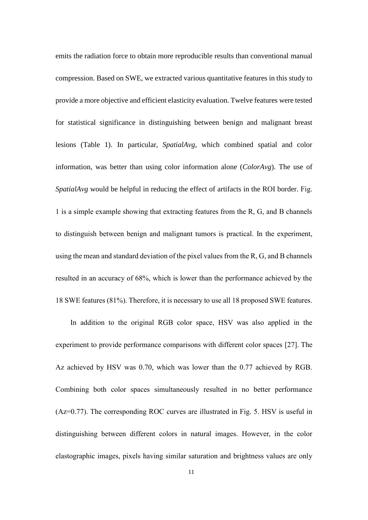emits the radiation force to obtain more reproducible results than conventional manual compression. Based on SWE, we extracted various quantitative features in this study to provide a more objective and efficient elasticity evaluation. Twelve features were tested for statistical significance in distinguishing between benign and malignant breast lesions (Table 1). In particular, *SpatialAvg*, which combined spatial and color information, was better than using color information alone (*ColorAvg*). The use of *SpatialAvg* would be helpful in reducing the effect of artifacts in the ROI border. Fig. 1 is a simple example showing that extracting features from the R, G, and B channels to distinguish between benign and malignant tumors is practical. In the experiment, using the mean and standard deviation of the pixel values from the R, G, and B channels resulted in an accuracy of 68%, which is lower than the performance achieved by the 18 SWE features (81%). Therefore, it is necessary to use all 18 proposed SWE features.

In addition to the original RGB color space, HSV was also applied in the experiment to provide performance comparisons with different color spaces [\[27\]](#page-20-8). The Az achieved by HSV was 0.70, which was lower than the 0.77 achieved by RGB. Combining both color spaces simultaneously resulted in no better performance (Az=0.77). The corresponding ROC curves are illustrated in Fig. 5. HSV is useful in distinguishing between different colors in natural images. However, in the color elastographic images, pixels having similar saturation and brightness values are only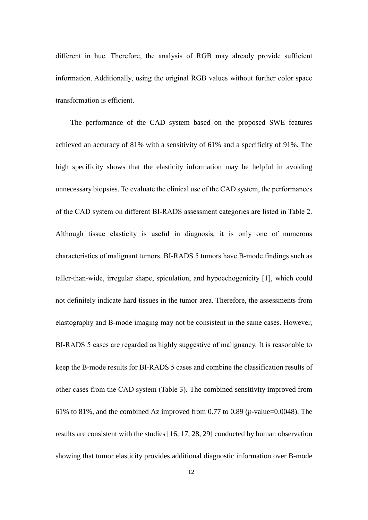different in hue. Therefore, the analysis of RGB may already provide sufficient information. Additionally, using the original RGB values without further color space transformation is efficient.

The performance of the CAD system based on the proposed SWE features achieved an accuracy of 81% with a sensitivity of 61% and a specificity of 91%. The high specificity shows that the elasticity information may be helpful in avoiding unnecessary biopsies. To evaluate the clinical use of the CAD system, the performances of the CAD system on different BI-RADS assessment categories are listed in Table 2. Although tissue elasticity is useful in diagnosis, it is only one of numerous characteristics of malignant tumors. BI-RADS 5 tumors have B-mode findings such as taller-than-wide, irregular shape, spiculation, and hypoechogenicity [\[1\]](#page-17-0), which could not definitely indicate hard tissues in the tumor area. Therefore, the assessments from elastography and B-mode imaging may not be consistent in the same cases. However, BI-RADS 5 cases are regarded as highly suggestive of malignancy. It is reasonable to keep the B-mode results for BI-RADS 5 cases and combine the classification results of other cases from the CAD system (Table 3). The combined sensitivity improved from 61% to 81%, and the combined Az improved from 0.77 to 0.89 (*p*-value=0.0048). The results are consistent with the studies [\[16,](#page-19-3) [17,](#page-19-4) [28,](#page-21-0) [29\]](#page-21-1) conducted by human observation showing that tumor elasticity provides additional diagnostic information over B-mode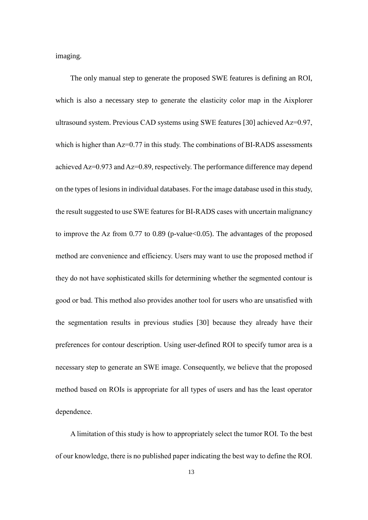imaging.

The only manual step to generate the proposed SWE features is defining an ROI, which is also a necessary step to generate the elasticity color map in the Aixplorer ultrasound system. Previous CAD systems using SWE features [\[30\]](#page-21-2) achieved Az=0.97, which is higher than Az=0.77 in this study. The combinations of BI-RADS assessments achieved Az=0.973 and Az=0.89, respectively. The performance difference may depend on the types of lesions in individual databases. For the image database used in this study, the result suggested to use SWE features for BI-RADS cases with uncertain malignancy to improve the Az from  $0.77$  to  $0.89$  (p-value  $0.05$ ). The advantages of the proposed method are convenience and efficiency. Users may want to use the proposed method if they do not have sophisticated skills for determining whether the segmented contour is good or bad. This method also provides another tool for users who are unsatisfied with the segmentation results in previous studies [\[30\]](#page-21-2) because they already have their preferences for contour description. Using user-defined ROI to specify tumor area is a necessary step to generate an SWE image. Consequently, we believe that the proposed method based on ROIs is appropriate for all types of users and has the least operator dependence.

A limitation of this study is how to appropriately select the tumor ROI. To the best of our knowledge, there is no published paper indicating the best way to define the ROI.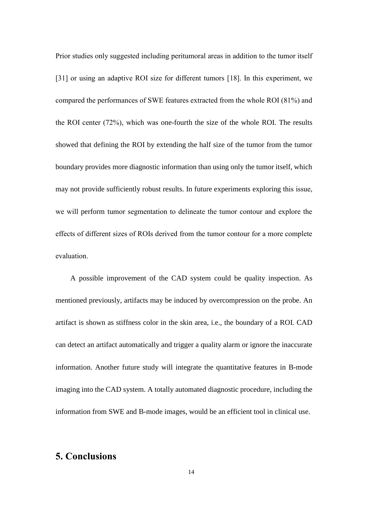Prior studies only suggested including peritumoral areas in addition to the tumor itself [\[31\]](#page-21-3) or using an adaptive ROI size for different tumors [\[18\]](#page-19-5). In this experiment, we compared the performances of SWE features extracted from the whole ROI (81%) and the ROI center (72%), which was one-fourth the size of the whole ROI. The results showed that defining the ROI by extending the half size of the tumor from the tumor boundary provides more diagnostic information than using only the tumor itself, which may not provide sufficiently robust results. In future experiments exploring this issue, we will perform tumor segmentation to delineate the tumor contour and explore the effects of different sizes of ROIs derived from the tumor contour for a more complete evaluation.

A possible improvement of the CAD system could be quality inspection. As mentioned previously, artifacts may be induced by overcompression on the probe. An artifact is shown as stiffness color in the skin area, i.e., the boundary of a ROI. CAD can detect an artifact automatically and trigger a quality alarm or ignore the inaccurate information. Another future study will integrate the quantitative features in B-mode imaging into the CAD system. A totally automated diagnostic procedure, including the information from SWE and B-mode images, would be an efficient tool in clinical use.

### **5. Conclusions**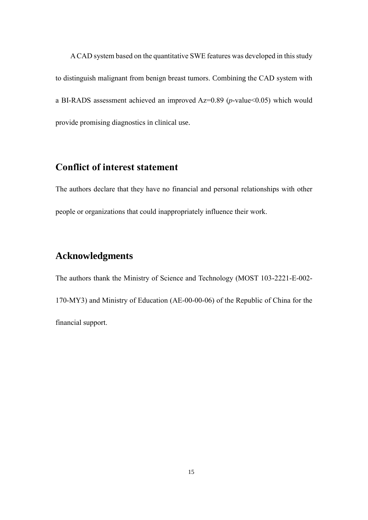A CAD system based on the quantitative SWE features was developed in this study to distinguish malignant from benign breast tumors. Combining the CAD system with a BI-RADS assessment achieved an improved Az=0.89 (*p*-value<0.05) which would provide promising diagnostics in clinical use.

# **Conflict of interest statement**

The authors declare that they have no financial and personal relationships with other people or organizations that could inappropriately influence their work.

## **Acknowledgments**

The authors thank the Ministry of Science and Technology (MOST 103-2221-E-002- 170-MY3) and Ministry of Education (AE-00-00-06) of the Republic of China for the financial support.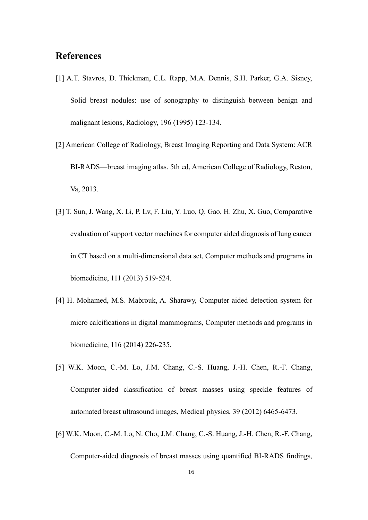## **References**

- <span id="page-17-0"></span>[1] A.T. Stavros, D. Thickman, C.L. Rapp, M.A. Dennis, S.H. Parker, G.A. Sisney, Solid breast nodules: use of sonography to distinguish between benign and malignant lesions, Radiology, 196 (1995) 123-134.
- <span id="page-17-1"></span>[2] American College of Radiology, Breast Imaging Reporting and Data System: ACR BI-RADS—breast imaging atlas. 5th ed, American College of Radiology, Reston, Va, 2013.
- <span id="page-17-2"></span>[3] T. Sun, J. Wang, X. Li, P. Lv, F. Liu, Y. Luo, Q. Gao, H. Zhu, X. Guo, Comparative evaluation of support vector machines for computer aided diagnosis of lung cancer in CT based on a multi-dimensional data set, Computer methods and programs in biomedicine, 111 (2013) 519-524.
- [4] H. Mohamed, M.S. Mabrouk, A. Sharawy, Computer aided detection system for micro calcifications in digital mammograms, Computer methods and programs in biomedicine, 116 (2014) 226-235.
- [5] W.K. Moon, C.-M. Lo, J.M. Chang, C.-S. Huang, J.-H. Chen, R.-F. Chang, Computer-aided classification of breast masses using speckle features of automated breast ultrasound images, Medical physics, 39 (2012) 6465-6473.
- [6] W.K. Moon, C.-M. Lo, N. Cho, J.M. Chang, C.-S. Huang, J.-H. Chen, R.-F. Chang, Computer-aided diagnosis of breast masses using quantified BI-RADS findings,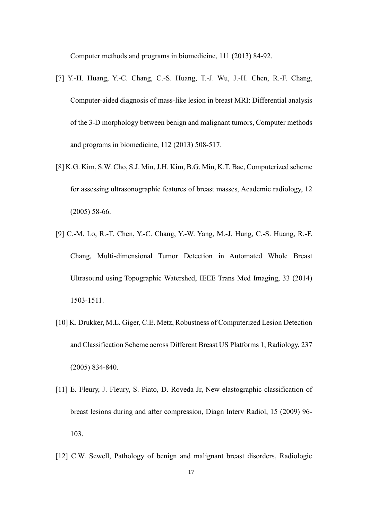Computer methods and programs in biomedicine, 111 (2013) 84-92.

- [7] Y.-H. Huang, Y.-C. Chang, C.-S. Huang, T.-J. Wu, J.-H. Chen, R.-F. Chang, Computer-aided diagnosis of mass-like lesion in breast MRI: Differential analysis of the 3-D morphology between benign and malignant tumors, Computer methods and programs in biomedicine, 112 (2013) 508-517.
- [8] K.G. Kim, S.W. Cho, S.J. Min, J.H. Kim, B.G. Min, K.T. Bae, Computerized scheme for assessing ultrasonographic features of breast masses, Academic radiology, 12 (2005) 58-66.
- [9] C.-M. Lo, R.-T. Chen, Y.-C. Chang, Y.-W. Yang, M.-J. Hung, C.-S. Huang, R.-F. Chang, Multi-dimensional Tumor Detection in Automated Whole Breast Ultrasound using Topographic Watershed, IEEE Trans Med Imaging, 33 (2014) 1503-1511.
- [10] K. Drukker, M.L. Giger, C.E. Metz, Robustness of Computerized Lesion Detection and Classification Scheme across Different Breast US Platforms 1, Radiology, 237 (2005) 834-840.
- <span id="page-18-0"></span>[11] E. Fleury, J. Fleury, S. Piato, D. Roveda Jr, New elastographic classification of breast lesions during and after compression, Diagn Interv Radiol, 15 (2009) 96- 103.
- <span id="page-18-1"></span>[12] C.W. Sewell, Pathology of benign and malignant breast disorders, Radiologic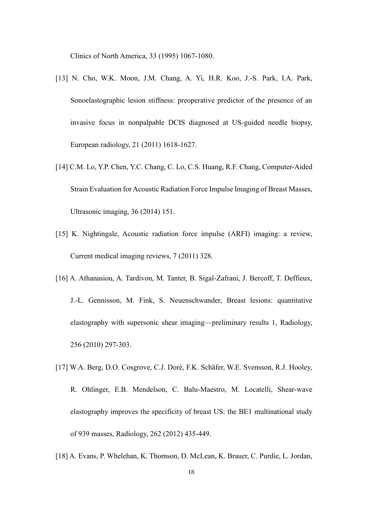Clinics of North America, 33 (1995) 1067-1080.

- <span id="page-19-0"></span>[13] N. Cho, W.K. Moon, J.M. Chang, A. Yi, H.R. Koo, J.-S. Park, I.A. Park, Sonoelastographic lesion stiffness: preoperative predictor of the presence of an invasive focus in nonpalpable DCIS diagnosed at US-guided needle biopsy, European radiology, 21 (2011) 1618-1627.
- <span id="page-19-1"></span>[14] C.M. Lo, Y.P. Chen, Y.C. Chang, C. Lo, C.S. Huang, R.F. Chang, Computer-Aided Strain Evaluation for Acoustic Radiation Force Impulse Imaging of Breast Masses, Ultrasonic imaging, 36 (2014) 151.
- <span id="page-19-2"></span>[15] K. Nightingale, Acoustic radiation force impulse (ARFI) imaging: a review, Current medical imaging reviews, 7 (2011) 328.
- <span id="page-19-3"></span>[16] A. Athanasiou, A. Tardivon, M. Tanter, B. Sigal-Zafrani, J. Bercoff, T. Deffieux, J.-L. Gennisson, M. Fink, S. Neuenschwander, Breast lesions: quantitative elastography with supersonic shear imaging—preliminary results 1, Radiology, 256 (2010) 297-303.
- <span id="page-19-4"></span>[17] W.A. Berg, D.O. Cosgrove, C.J. Doré, F.K. Schäfer, W.E. Svensson, R.J. Hooley, R. Ohlinger, E.B. Mendelson, C. Balu-Maestro, M. Locatelli, Shear-wave elastography improves the specificity of breast US: the BE1 multinational study of 939 masses, Radiology, 262 (2012) 435-449.
- <span id="page-19-5"></span>[18] A. Evans, P. Whelehan, K. Thomson, D. McLean, K. Brauer, C. Purdie, L. Jordan,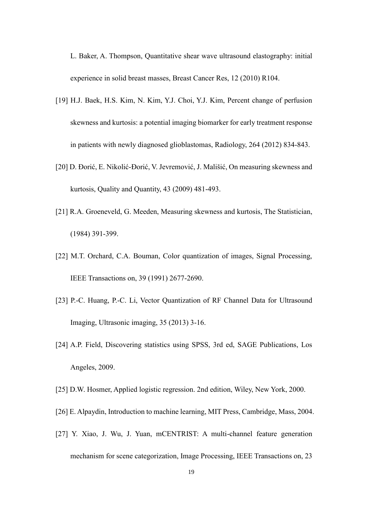L. Baker, A. Thompson, Quantitative shear wave ultrasound elastography: initial experience in solid breast masses, Breast Cancer Res, 12 (2010) R104.

- <span id="page-20-0"></span>[19] H.J. Baek, H.S. Kim, N. Kim, Y.J. Choi, Y.J. Kim, Percent change of perfusion skewness and kurtosis: a potential imaging biomarker for early treatment response in patients with newly diagnosed glioblastomas, Radiology, 264 (2012) 834-843.
- <span id="page-20-1"></span>[20] D. Đorić, E. Nikolić-Đorić, V. Jevremović, J. Mališić, On measuring skewness and kurtosis, Quality and Quantity, 43 (2009) 481-493.
- <span id="page-20-2"></span>[21] R.A. Groeneveld, G. Meeden, Measuring skewness and kurtosis, The Statistician, (1984) 391-399.
- <span id="page-20-3"></span>[22] M.T. Orchard, C.A. Bouman, Color quantization of images, Signal Processing, IEEE Transactions on, 39 (1991) 2677-2690.
- <span id="page-20-4"></span>[23] P.-C. Huang, P.-C. Li, Vector Quantization of RF Channel Data for Ultrasound Imaging, Ultrasonic imaging, 35 (2013) 3-16.
- <span id="page-20-5"></span>[24] A.P. Field, Discovering statistics using SPSS, 3rd ed, SAGE Publications, Los Angeles, 2009.
- <span id="page-20-6"></span>[25] D.W. Hosmer, Applied logistic regression. 2nd edition, Wiley, New York, 2000.
- <span id="page-20-7"></span>[26] E. Alpaydin, Introduction to machine learning, MIT Press, Cambridge, Mass, 2004.
- <span id="page-20-8"></span>[27] Y. Xiao, J. Wu, J. Yuan, mCENTRIST: A multi-channel feature generation mechanism for scene categorization, Image Processing, IEEE Transactions on, 23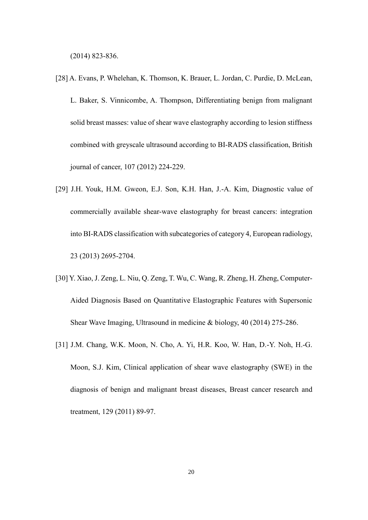(2014) 823-836.

- <span id="page-21-0"></span>[28] A. Evans, P. Whelehan, K. Thomson, K. Brauer, L. Jordan, C. Purdie, D. McLean, L. Baker, S. Vinnicombe, A. Thompson, Differentiating benign from malignant solid breast masses: value of shear wave elastography according to lesion stiffness combined with greyscale ultrasound according to BI-RADS classification, British journal of cancer, 107 (2012) 224-229.
- <span id="page-21-1"></span>[29] J.H. Youk, H.M. Gweon, E.J. Son, K.H. Han, J.-A. Kim, Diagnostic value of commercially available shear-wave elastography for breast cancers: integration into BI-RADS classification with subcategories of category 4, European radiology, 23 (2013) 2695-2704.
- <span id="page-21-2"></span>[30] Y. Xiao, J. Zeng, L. Niu, Q. Zeng, T. Wu, C. Wang, R. Zheng, H. Zheng, Computer-Aided Diagnosis Based on Quantitative Elastographic Features with Supersonic Shear Wave Imaging, Ultrasound in medicine & biology, 40 (2014) 275-286.
- <span id="page-21-3"></span>[31] J.M. Chang, W.K. Moon, N. Cho, A. Yi, H.R. Koo, W. Han, D.-Y. Noh, H.-G. Moon, S.J. Kim, Clinical application of shear wave elastography (SWE) in the diagnosis of benign and malignant breast diseases, Breast cancer research and treatment, 129 (2011) 89-97.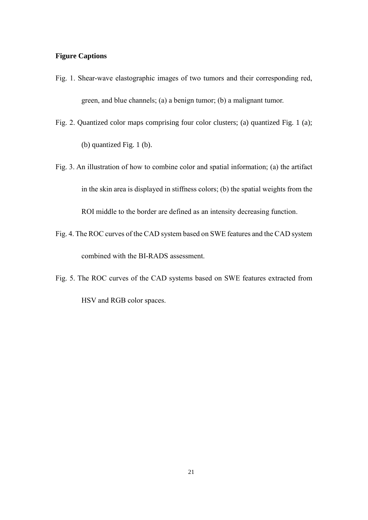#### **Figure Captions**

- Fig. 1. Shear-wave elastographic images of two tumors and their corresponding red, green, and blue channels; (a) a benign tumor; (b) a malignant tumor.
- Fig. 2. Quantized color maps comprising four color clusters; (a) quantized Fig. 1 (a); (b) quantized Fig. 1 (b).
- Fig. 3. An illustration of how to combine color and spatial information; (a) the artifact in the skin area is displayed in stiffness colors; (b) the spatial weights from the ROI middle to the border are defined as an intensity decreasing function.
- Fig. 4. The ROC curves of the CAD system based on SWE features and the CAD system combined with the BI-RADS assessment.
- Fig. 5. The ROC curves of the CAD systems based on SWE features extracted from HSV and RGB color spaces.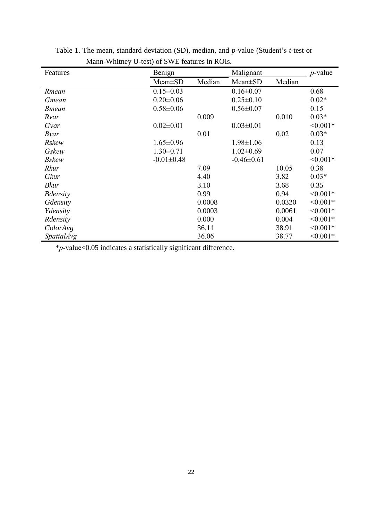| Features          | Benign           |        | Malignant        |        | $p$ -value |
|-------------------|------------------|--------|------------------|--------|------------|
|                   | $Mean \pm SD$    | Median | Mean±SD          | Median |            |
| Rmean             | $0.15 \pm 0.03$  |        | $0.16 \pm 0.07$  |        | 0.68       |
| Gmean             | $0.20 \pm 0.06$  |        | $0.25 \pm 0.10$  |        | $0.02*$    |
| <b>B</b> mean     | $0.58 \pm 0.06$  |        | $0.56 \pm 0.07$  |        | 0.15       |
| Rvar              |                  | 0.009  |                  | 0.010  | $0.03*$    |
| Gvar              | $0.02 \pm 0.01$  |        | $0.03 \pm 0.01$  |        | $< 0.001*$ |
| Bvar              |                  | 0.01   |                  | 0.02   | $0.03*$    |
| <b>Rskew</b>      | $1.65 \pm 0.96$  |        | $1.98 \pm 1.06$  |        | 0.13       |
| Gskew             | $1.30 \pm 0.71$  |        | $1.02 \pm 0.69$  |        | 0.07       |
| <b>Bskew</b>      | $-0.01 \pm 0.48$ |        | $-0.46 \pm 0.61$ |        | $< 0.001*$ |
| Rkur              |                  | 7.09   |                  | 10.05  | 0.38       |
| Gkur              |                  | 4.40   |                  | 3.82   | $0.03*$    |
| <b>Bkur</b>       |                  | 3.10   |                  | 3.68   | 0.35       |
| <b>B</b> density  |                  | 0.99   |                  | 0.94   | $< 0.001*$ |
| Gdensity          |                  | 0.0008 |                  | 0.0320 | $< 0.001*$ |
| Ydensity          |                  | 0.0003 |                  | 0.0061 | $< 0.001*$ |
| Rdensity          |                  | 0.000  |                  | 0.004  | $< 0.001*$ |
| ColorAvg          |                  | 36.11  |                  | 38.91  | $< 0.001*$ |
| <b>SpatialAvg</b> |                  | 36.06  |                  | 38.77  | $< 0.001*$ |

Table 1. The mean, standard deviation (SD), median, and *p*-value (Student's *t*-test or Mann-Whitney U-test) of SWE features in ROIs.

\**p*-value<0.05 indicates a statistically significant difference.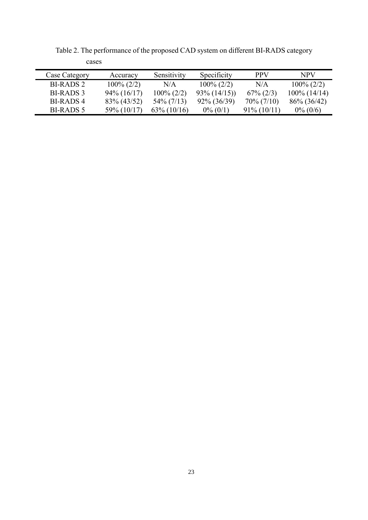| Case Category | Accuracy       | Sensitivity    | Specificity    | <b>PPV</b>     | NPV             |
|---------------|----------------|----------------|----------------|----------------|-----------------|
| BI-RADS 2     | $100\% (2/2)$  | N/A            | $100\% (2/2)$  | N/A            | $100\% (2/2)$   |
| BL-RADS 3     | $94\%$ (16/17) | $100\% (2/2)$  | $93\% (14/15)$ | $67\% (2/3)$   | $100\%$ (14/14) |
| BL-RADS 4     | $83\% (43/52)$ | $54\%$ (7/13)  | $92\% (36/39)$ | $70\% (7/10)$  | $86\%$ (36/42)  |
| BI-RADS 5     | 59% (10/17)    | $63\% (10/16)$ | $0\% (0/1)$    | $91\% (10/11)$ | $0\% (0/6)$     |

Table 2. The performance of the proposed CAD system on different BI-RADS category cases